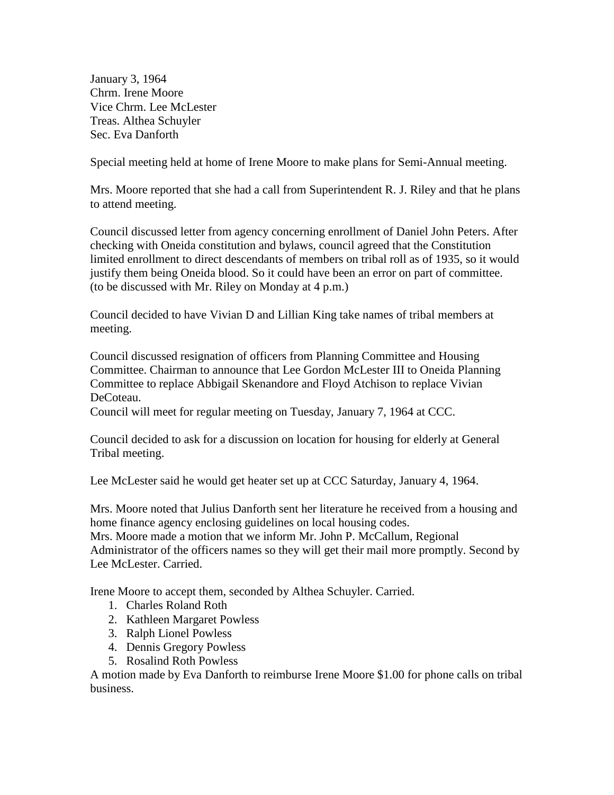January 3, 1964 Chrm. Irene Moore Vice Chrm. Lee McLester Treas. Althea Schuyler Sec. Eva Danforth

Special meeting held at home of Irene Moore to make plans for Semi-Annual meeting.

Mrs. Moore reported that she had a call from Superintendent R. J. Riley and that he plans to attend meeting.

Council discussed letter from agency concerning enrollment of Daniel John Peters. After checking with Oneida constitution and bylaws, council agreed that the Constitution limited enrollment to direct descendants of members on tribal roll as of 1935, so it would justify them being Oneida blood. So it could have been an error on part of committee. (to be discussed with Mr. Riley on Monday at 4 p.m.)

Council decided to have Vivian D and Lillian King take names of tribal members at meeting.

Council discussed resignation of officers from Planning Committee and Housing Committee. Chairman to announce that Lee Gordon McLester III to Oneida Planning Committee to replace Abbigail Skenandore and Floyd Atchison to replace Vivian DeCoteau.

Council will meet for regular meeting on Tuesday, January 7, 1964 at CCC.

Council decided to ask for a discussion on location for housing for elderly at General Tribal meeting.

Lee McLester said he would get heater set up at CCC Saturday, January 4, 1964.

Mrs. Moore noted that Julius Danforth sent her literature he received from a housing and home finance agency enclosing guidelines on local housing codes.

Mrs. Moore made a motion that we inform Mr. John P. McCallum, Regional Administrator of the officers names so they will get their mail more promptly. Second by Lee McLester. Carried.

Irene Moore to accept them, seconded by Althea Schuyler. Carried.

- 1. Charles Roland Roth
- 2. Kathleen Margaret Powless
- 3. Ralph Lionel Powless
- 4. Dennis Gregory Powless
- 5. Rosalind Roth Powless

A motion made by Eva Danforth to reimburse Irene Moore \$1.00 for phone calls on tribal business.